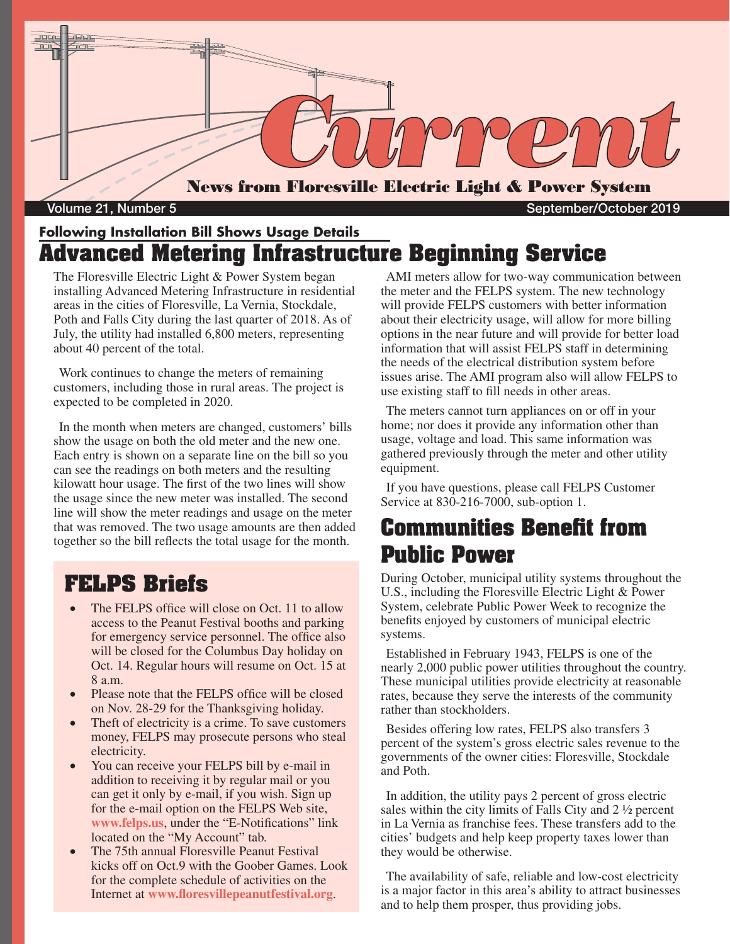

Volume 21, Number 5 September/October 2019

### **Following Installation Bill Shows Usage Details Advanced Metering Infrastructure Beginning Service**

The Floresville Electric Light & Power System began installing Advanced Metering Infrastructure in residential areas in the cities of Floresville, La Vernia, Stockdale, Poth and Falls City during the last quarter of 2018. As of July, the utility had installed 6,800 meters, representing about 40 percent of the total.

Work continues to change the meters of remaining customers, including those in rural areas. The project is expected to be completed in 2020.

In the month when meters are changed, customers' bills show the usage on both the old meter and the new one. Each entry is shown on a separate line on the bill so you can see the readings on both meters and the resulting kilowatt hour usage. The first of the two lines will show the usage since the new meter was installed. The second line will show the meter readings and usage on the meter that was removed. The two usage amounts are then added together so the bill reflects the total usage for the month.

### **FELPS Briefs**

- The FELPS office will close on Oct. 11 to allow access to the Peanut Festival booths and parking for emergency service personnel. The office also will be closed for the Columbus Day holiday on Oct. 14. Regular hours will resume on Oct. 15 at  $8a \, \text{m}$
- Please note that the FELPS office will be closed on Nov. 28-29 for the Thanksgiving holiday.
- Theft of electricity is a crime. To save customers money, FELPS may prosecute persons who steal electricity.
- You can receive your FELPS bill by e-mail in addition to receiving it by regular mail or you can get it only by e-mail, if you wish. Sign up for the e-mail option on the FELPS Web site, **www.felps.us**, under the "E-Notifications" link located on the "My Account" tab.
- The 75th annual Floresville Peanut Festival kicks off on Oct.9 with the Goober Games. Look for the complete schedule of activities on the Internet at **www.floresvillepeanutfestival.org**.

AMI meters allow for two-way communication between the meter and the FELPS system. The new technology will provide FELPS customers with better information about their electricity usage, will allow for more billing options in the near future and will provide for better load information that will assist FELPS staff in determining the needs of the electrical distribution system before issues arise. The AMI program also will allow FELPS to use existing staff to fill needs in other areas.

The meters cannot turn appliances on or off in your home; nor does it provide any information other than usage, voltage and load. This same information was gathered previously through the meter and other utility equipment.

If you have questions, please call FELPS Customer Service at 830-216-7000, sub-option 1.

## **Communities Benefit from Public Power**

During October, municipal utility systems throughout the U.S., including the Floresville Electric Light & Power System, celebrate Public Power Week to recognize the benefits enjoyed by customers of municipal electric systems.

Established in February 1943, FELPS is one of the nearly 2,000 public power utilities throughout the country. These municipal utilities provide electricity at reasonable rates, because they serve the interests of the community rather than stockholders.

Besides offering low rates, FELPS also transfers 3 percent of the system's gross electric sales revenue to the governments of the owner cities: Floresville, Stockdale and Poth.

In addition, the utility pays 2 percent of gross electric sales within the city limits of Falls City and 2 ½ percent in La Vernia as franchise fees. These transfers add to the cities' budgets and help keep property taxes lower than they would be otherwise.

The availability of safe, reliable and low-cost electricity is a major factor in this area's ability to attract businesses and to help them prosper, thus providing jobs.